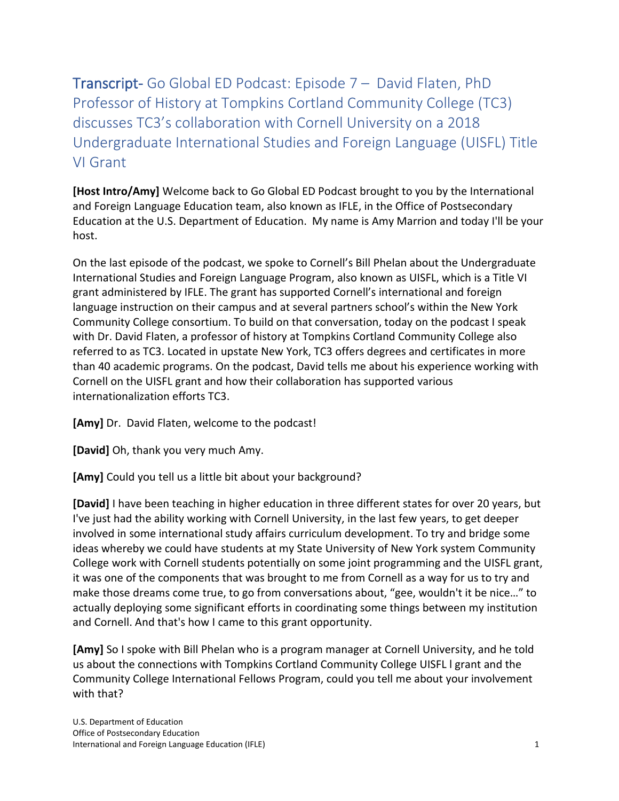Transcript- Go Global ED Podcast: Episode 7 – David Flaten, PhD Professor of History at Tompkins Cortland Community College (TC3) discusses TC3's collaboration with Cornell University on a 2018 Undergraduate International Studies and Foreign Language (UISFL) Title VI Grant

**[Host Intro/Amy]** Welcome back to Go Global ED Podcast brought to you by the International and Foreign Language Education team, also known as IFLE, in the Office of Postsecondary Education at the U.S. Department of Education. My name is Amy Marrion and today I'll be your host.

On the last episode of the podcast, we spoke to Cornell's Bill Phelan about the Undergraduate International Studies and Foreign Language Program, also known as UISFL, which is a Title VI grant administered by IFLE. The grant has supported Cornell's international and foreign language instruction on their campus and at several partners school's within the New York Community College consortium. To build on that conversation, today on the podcast I speak with Dr. David Flaten, a professor of history at Tompkins Cortland Community College also referred to as TC3. Located in upstate New York, TC3 offers degrees and certificates in more than 40 academic programs. On the podcast, David tells me about his experience working with Cornell on the UISFL grant and how their collaboration has supported various internationalization efforts TC3.

[Amy] Dr. David Flaten, welcome to the podcast!

**[David]** Oh, thank you very much Amy.

**[Amy]** Could you tell us a little bit about your background?

**[David]** I have been teaching in higher education in three different states for over 20 years, but I've just had the ability working with Cornell University, in the last few years, to get deeper involved in some international study affairs curriculum development. To try and bridge some ideas whereby we could have students at my State University of New York system Community College work with Cornell students potentially on some joint programming and the UISFL grant, it was one of the components that was brought to me from Cornell as a way for us to try and make those dreams come true, to go from conversations about, "gee, wouldn't it be nice…" to actually deploying some significant efforts in coordinating some things between my institution and Cornell. And that's how I came to this grant opportunity.

**[Amy]** So I spoke with Bill Phelan who is a program manager at Cornell University, and he told us about the connections with Tompkins Cortland Community College UISFL l grant and the Community College International Fellows Program, could you tell me about your involvement with that?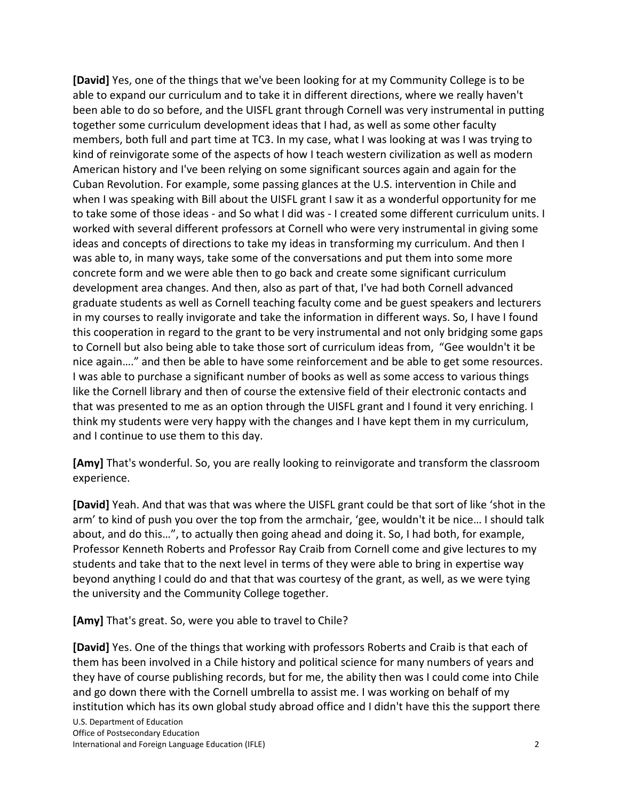**[David]** Yes, one of the things that we've been looking for at my Community College is to be able to expand our curriculum and to take it in different directions, where we really haven't been able to do so before, and the UISFL grant through Cornell was very instrumental in putting together some curriculum development ideas that I had, as well as some other faculty members, both full and part time at TC3. In my case, what I was looking at was I was trying to kind of reinvigorate some of the aspects of how I teach western civilization as well as modern American history and I've been relying on some significant sources again and again for the Cuban Revolution. For example, some passing glances at the U.S. intervention in Chile and when I was speaking with Bill about the UISFL grant I saw it as a wonderful opportunity for me to take some of those ideas - and So what I did was - I created some different curriculum units. I worked with several different professors at Cornell who were very instrumental in giving some ideas and concepts of directions to take my ideas in transforming my curriculum. And then I was able to, in many ways, take some of the conversations and put them into some more concrete form and we were able then to go back and create some significant curriculum development area changes. And then, also as part of that, I've had both Cornell advanced graduate students as well as Cornell teaching faculty come and be guest speakers and lecturers in my courses to really invigorate and take the information in different ways. So, I have I found this cooperation in regard to the grant to be very instrumental and not only bridging some gaps to Cornell but also being able to take those sort of curriculum ideas from, "Gee wouldn't it be nice again…." and then be able to have some reinforcement and be able to get some resources. I was able to purchase a significant number of books as well as some access to various things like the Cornell library and then of course the extensive field of their electronic contacts and that was presented to me as an option through the UISFL grant and I found it very enriching. I think my students were very happy with the changes and I have kept them in my curriculum, and I continue to use them to this day.

**[Amy]** That's wonderful. So, you are really looking to reinvigorate and transform the classroom experience.

**[David]** Yeah. And that was that was where the UISFL grant could be that sort of like 'shot in the arm' to kind of push you over the top from the armchair, 'gee, wouldn't it be nice… I should talk about, and do this…", to actually then going ahead and doing it. So, I had both, for example, Professor Kenneth Roberts and Professor Ray Craib from Cornell come and give lectures to my students and take that to the next level in terms of they were able to bring in expertise way beyond anything I could do and that that was courtesy of the grant, as well, as we were tying the university and the Community College together.

**[Amy]** That's great. So, were you able to travel to Chile?

**[David]** Yes. One of the things that working with professors Roberts and Craib is that each of them has been involved in a Chile history and political science for many numbers of years and they have of course publishing records, but for me, the ability then was I could come into Chile and go down there with the Cornell umbrella to assist me. I was working on behalf of my institution which has its own global study abroad office and I didn't have this the support there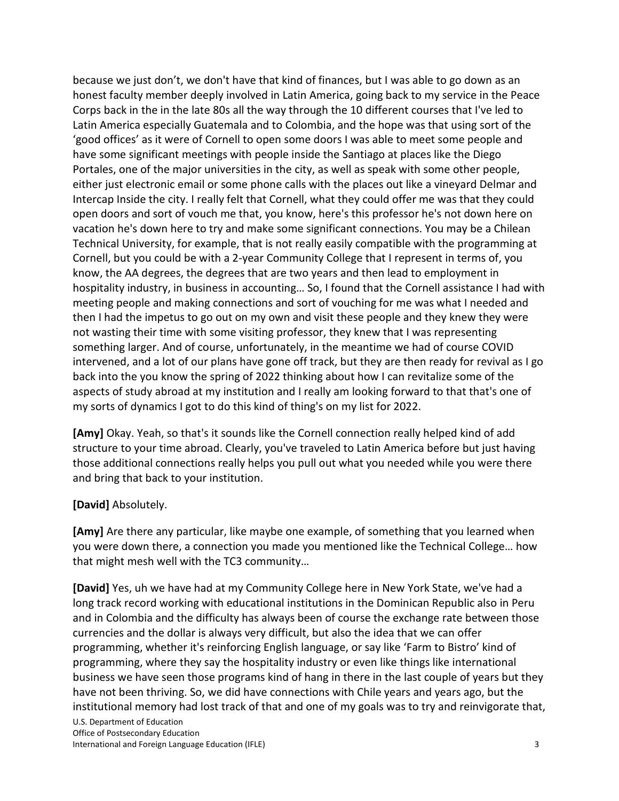because we just don't, we don't have that kind of finances, but I was able to go down as an honest faculty member deeply involved in Latin America, going back to my service in the Peace Corps back in the in the late 80s all the way through the 10 different courses that I've led to Latin America especially Guatemala and to Colombia, and the hope was that using sort of the 'good offices' as it were of Cornell to open some doors I was able to meet some people and have some significant meetings with people inside the Santiago at places like the Diego Portales, one of the major universities in the city, as well as speak with some other people, either just electronic email or some phone calls with the places out like a vineyard Delmar and Intercap Inside the city. I really felt that Cornell, what they could offer me was that they could open doors and sort of vouch me that, you know, here's this professor he's not down here on vacation he's down here to try and make some significant connections. You may be a Chilean Technical University, for example, that is not really easily compatible with the programming at Cornell, but you could be with a 2-year Community College that I represent in terms of, you know, the AA degrees, the degrees that are two years and then lead to employment in hospitality industry, in business in accounting... So, I found that the Cornell assistance I had with meeting people and making connections and sort of vouching for me was what I needed and then I had the impetus to go out on my own and visit these people and they knew they were not wasting their time with some visiting professor, they knew that I was representing something larger. And of course, unfortunately, in the meantime we had of course COVID intervened, and a lot of our plans have gone off track, but they are then ready for revival as I go back into the you know the spring of 2022 thinking about how I can revitalize some of the aspects of study abroad at my institution and I really am looking forward to that that's one of my sorts of dynamics I got to do this kind of thing's on my list for 2022.

**[Amy]** Okay. Yeah, so that's it sounds like the Cornell connection really helped kind of add structure to your time abroad. Clearly, you've traveled to Latin America before but just having those additional connections really helps you pull out what you needed while you were there and bring that back to your institution.

## **[David]** Absolutely.

**[Amy]** Are there any particular, like maybe one example, of something that you learned when you were down there, a connection you made you mentioned like the Technical College… how that might mesh well with the TC3 community…

**[David]** Yes, uh we have had at my Community College here in New York State, we've had a long track record working with educational institutions in the Dominican Republic also in Peru and in Colombia and the difficulty has always been of course the exchange rate between those currencies and the dollar is always very difficult, but also the idea that we can offer programming, whether it's reinforcing English language, or say like 'Farm to Bistro' kind of programming, where they say the hospitality industry or even like things like international business we have seen those programs kind of hang in there in the last couple of years but they have not been thriving. So, we did have connections with Chile years and years ago, but the institutional memory had lost track of that and one of my goals was to try and reinvigorate that,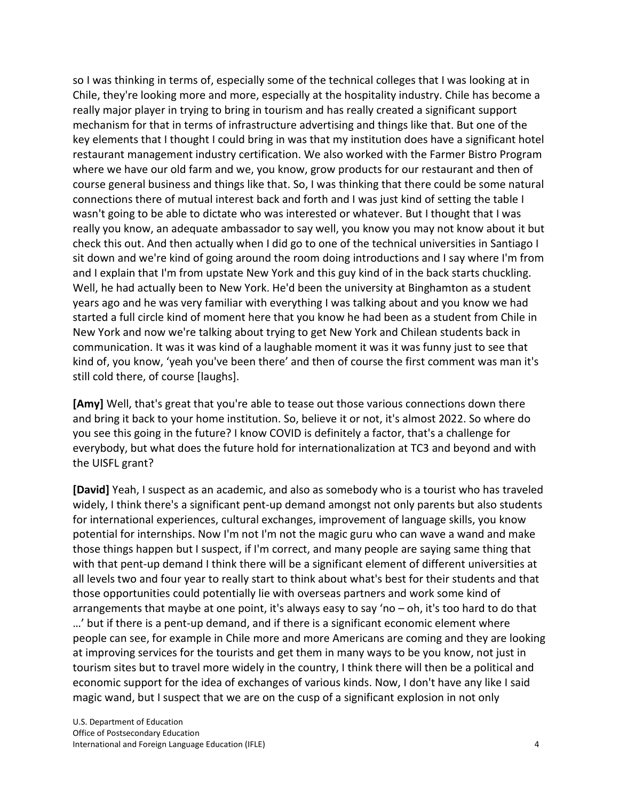so I was thinking in terms of, especially some of the technical colleges that I was looking at in Chile, they're looking more and more, especially at the hospitality industry. Chile has become a really major player in trying to bring in tourism and has really created a significant support mechanism for that in terms of infrastructure advertising and things like that. But one of the key elements that I thought I could bring in was that my institution does have a significant hotel restaurant management industry certification. We also worked with the Farmer Bistro Program where we have our old farm and we, you know, grow products for our restaurant and then of course general business and things like that. So, I was thinking that there could be some natural connections there of mutual interest back and forth and I was just kind of setting the table I wasn't going to be able to dictate who was interested or whatever. But I thought that I was really you know, an adequate ambassador to say well, you know you may not know about it but check this out. And then actually when I did go to one of the technical universities in Santiago I sit down and we're kind of going around the room doing introductions and I say where I'm from and I explain that I'm from upstate New York and this guy kind of in the back starts chuckling. Well, he had actually been to New York. He'd been the university at Binghamton as a student years ago and he was very familiar with everything I was talking about and you know we had started a full circle kind of moment here that you know he had been as a student from Chile in New York and now we're talking about trying to get New York and Chilean students back in communication. It was it was kind of a laughable moment it was it was funny just to see that kind of, you know, 'yeah you've been there' and then of course the first comment was man it's still cold there, of course [laughs].

**[Amy]** Well, that's great that you're able to tease out those various connections down there and bring it back to your home institution. So, believe it or not, it's almost 2022. So where do you see this going in the future? I know COVID is definitely a factor, that's a challenge for everybody, but what does the future hold for internationalization at TC3 and beyond and with the UISFL grant?

**[David]** Yeah, I suspect as an academic, and also as somebody who is a tourist who has traveled widely, I think there's a significant pent-up demand amongst not only parents but also students for international experiences, cultural exchanges, improvement of language skills, you know potential for internships. Now I'm not I'm not the magic guru who can wave a wand and make those things happen but I suspect, if I'm correct, and many people are saying same thing that with that pent-up demand I think there will be a significant element of different universities at all levels two and four year to really start to think about what's best for their students and that those opportunities could potentially lie with overseas partners and work some kind of arrangements that maybe at one point, it's always easy to say 'no – oh, it's too hard to do that …' but if there is a pent-up demand, and if there is a significant economic element where people can see, for example in Chile more and more Americans are coming and they are looking at improving services for the tourists and get them in many ways to be you know, not just in tourism sites but to travel more widely in the country, I think there will then be a political and economic support for the idea of exchanges of various kinds. Now, I don't have any like I said magic wand, but I suspect that we are on the cusp of a significant explosion in not only